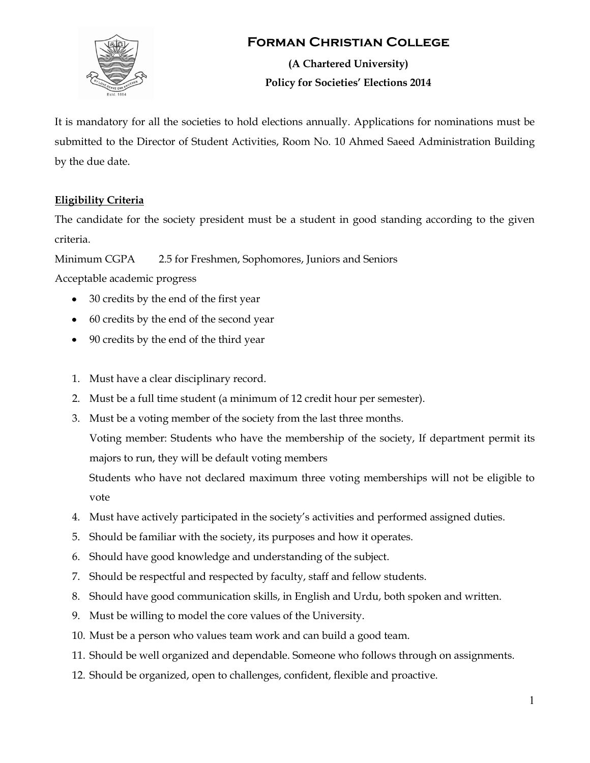

## **Forman Christian College**

**(A Chartered University) Policy for Societies' Elections 2014**

It is mandatory for all the societies to hold elections annually. Applications for nominations must be submitted to the Director of Student Activities, Room No. 10 Ahmed Saeed Administration Building by the due date.

## **Eligibility Criteria**

The candidate for the society president must be a student in good standing according to the given criteria.

Minimum CGPA 2.5 for Freshmen, Sophomores, Juniors and Seniors

Acceptable academic progress

- 30 credits by the end of the first year
- 60 credits by the end of the second year
- 90 credits by the end of the third year
- 1. Must have a clear disciplinary record.
- 2. Must be a full time student (a minimum of 12 credit hour per semester).
- 3. Must be a voting member of the society from the last three months.

Voting member: Students who have the membership of the society, If department permit its majors to run, they will be default voting members

Students who have not declared maximum three voting memberships will not be eligible to vote

- 4. Must have actively participated in the society's activities and performed assigned duties.
- 5. Should be familiar with the society, its purposes and how it operates.
- 6. Should have good knowledge and understanding of the subject.
- 7. Should be respectful and respected by faculty, staff and fellow students.
- 8. Should have good communication skills, in English and Urdu, both spoken and written.
- 9. Must be willing to model the core values of the University.
- 10. Must be a person who values team work and can build a good team.
- 11. Should be well organized and dependable. Someone who follows through on assignments.
- 12. Should be organized, open to challenges, confident, flexible and proactive.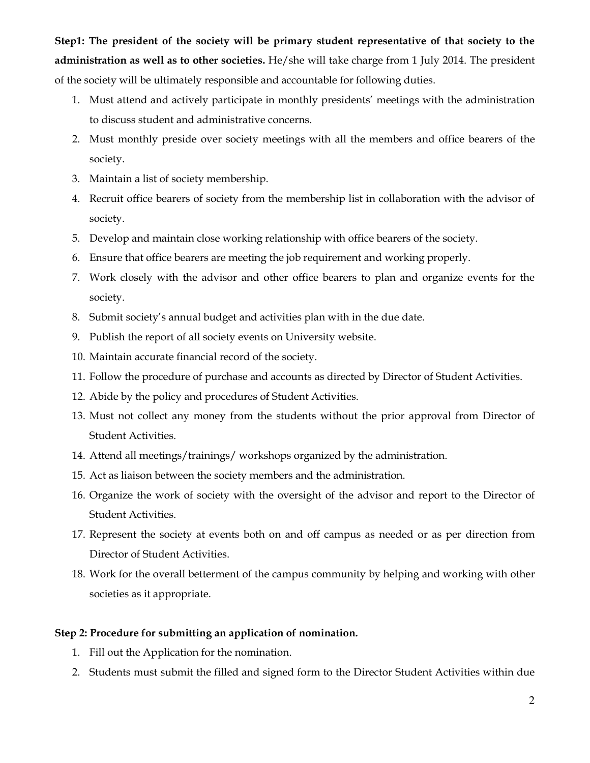**Step1: The president of the society will be primary student representative of that society to the administration as well as to other societies.** He/she will take charge from 1 July 2014. The president of the society will be ultimately responsible and accountable for following duties.

- 1. Must attend and actively participate in monthly presidents' meetings with the administration to discuss student and administrative concerns.
- 2. Must monthly preside over society meetings with all the members and office bearers of the society.
- 3. Maintain a list of society membership.
- 4. Recruit office bearers of society from the membership list in collaboration with the advisor of society.
- 5. Develop and maintain close working relationship with office bearers of the society.
- 6. Ensure that office bearers are meeting the job requirement and working properly.
- 7. Work closely with the advisor and other office bearers to plan and organize events for the society.
- 8. Submit society's annual budget and activities plan with in the due date.
- 9. Publish the report of all society events on University website.
- 10. Maintain accurate financial record of the society.
- 11. Follow the procedure of purchase and accounts as directed by Director of Student Activities.
- 12. Abide by the policy and procedures of Student Activities.
- 13. Must not collect any money from the students without the prior approval from Director of Student Activities.
- 14. Attend all meetings/trainings/ workshops organized by the administration.
- 15. Act as liaison between the society members and the administration.
- 16. Organize the work of society with the oversight of the advisor and report to the Director of Student Activities.
- 17. Represent the society at events both on and off campus as needed or as per direction from Director of Student Activities.
- 18. Work for the overall betterment of the campus community by helping and working with other societies as it appropriate.

### **Step 2: Procedure for submitting an application of nomination.**

- 1. Fill out the Application for the nomination.
- 2. Students must submit the filled and signed form to the Director Student Activities within due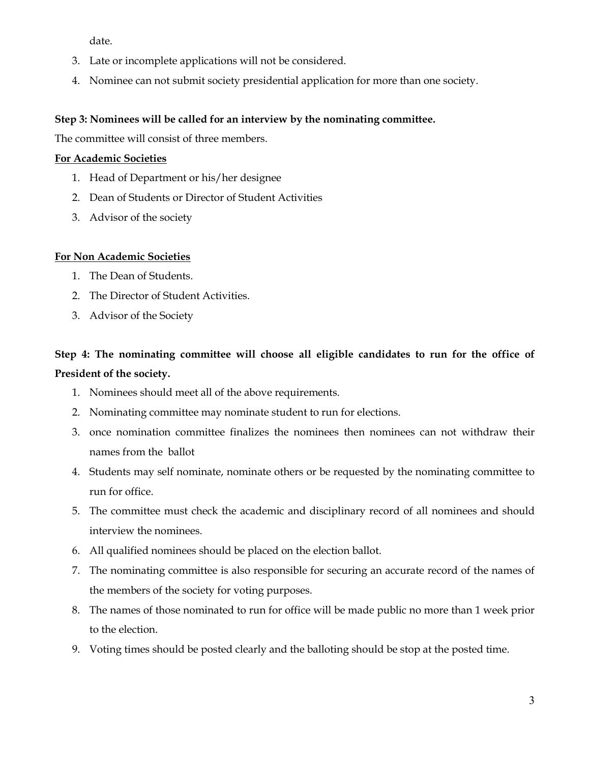date.

- 3. Late or incomplete applications will not be considered.
- 4. Nominee can not submit society presidential application for more than one society.

## **Step 3: Nominees will be called for an interview by the nominating committee.**

The committee will consist of three members.

### **For Academic Societies**

- 1. Head of Department or his/her designee
- 2. Dean of Students or Director of Student Activities
- 3. Advisor of the society

## **For Non Academic Societies**

- 1. The Dean of Students.
- 2. The Director of Student Activities.
- 3. Advisor of the Society

# **Step 4: The nominating committee will choose all eligible candidates to run for the office of President of the society.**

- 1. Nominees should meet all of the above requirements.
- 2. Nominating committee may nominate student to run for elections.
- 3. once nomination committee finalizes the nominees then nominees can not withdraw their names from the ballot
- 4. Students may self nominate, nominate others or be requested by the nominating committee to run for office.
- 5. The committee must check the academic and disciplinary record of all nominees and should interview the nominees.
- 6. All qualified nominees should be placed on the election ballot.
- 7. The nominating committee is also responsible for securing an accurate record of the names of the members of the society for voting purposes.
- 8. The names of those nominated to run for office will be made public no more than 1 week prior to the election.
- 9. Voting times should be posted clearly and the balloting should be stop at the posted time.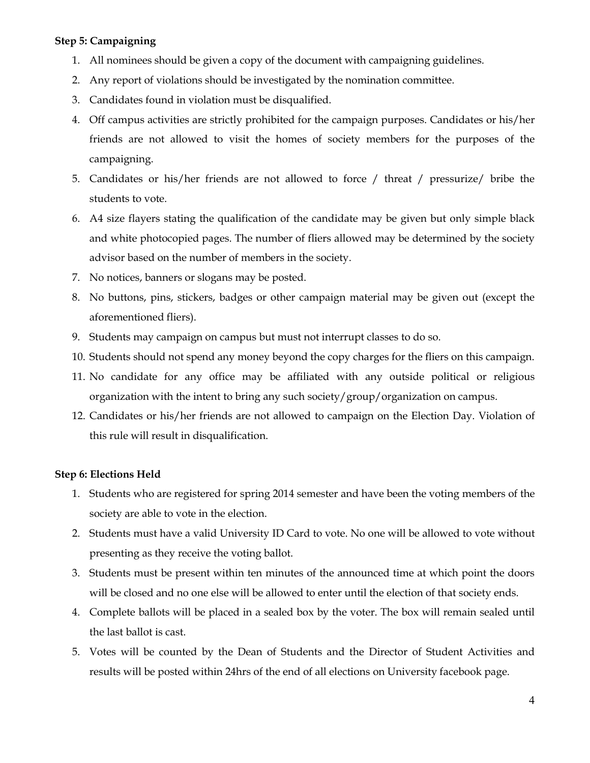### **Step 5: Campaigning**

- 1. All nominees should be given a copy of the document with campaigning guidelines.
- 2. Any report of violations should be investigated by the nomination committee.
- 3. Candidates found in violation must be disqualified.
- 4. Off campus activities are strictly prohibited for the campaign purposes. Candidates or his/her friends are not allowed to visit the homes of society members for the purposes of the campaigning.
- 5. Candidates or his/her friends are not allowed to force / threat / pressurize/ bribe the students to vote.
- 6. A4 size flayers stating the qualification of the candidate may be given but only simple black and white photocopied pages. The number of fliers allowed may be determined by the society advisor based on the number of members in the society.
- 7. No notices, banners or slogans may be posted.
- 8. No buttons, pins, stickers, badges or other campaign material may be given out (except the aforementioned fliers).
- 9. Students may campaign on campus but must not interrupt classes to do so.
- 10. Students should not spend any money beyond the copy charges for the fliers on this campaign.
- 11. No candidate for any office may be affiliated with any outside political or religious organization with the intent to bring any such society/group/organization on campus.
- 12. Candidates or his/her friends are not allowed to campaign on the Election Day. Violation of this rule will result in disqualification.

#### **Step 6: Elections Held**

- 1. Students who are registered for spring 2014 semester and have been the voting members of the society are able to vote in the election.
- 2. Students must have a valid University ID Card to vote. No one will be allowed to vote without presenting as they receive the voting ballot.
- 3. Students must be present within ten minutes of the announced time at which point the doors will be closed and no one else will be allowed to enter until the election of that society ends.
- 4. Complete ballots will be placed in a sealed box by the voter. The box will remain sealed until the last ballot is cast.
- 5. Votes will be counted by the Dean of Students and the Director of Student Activities and results will be posted within 24hrs of the end of all elections on University facebook page.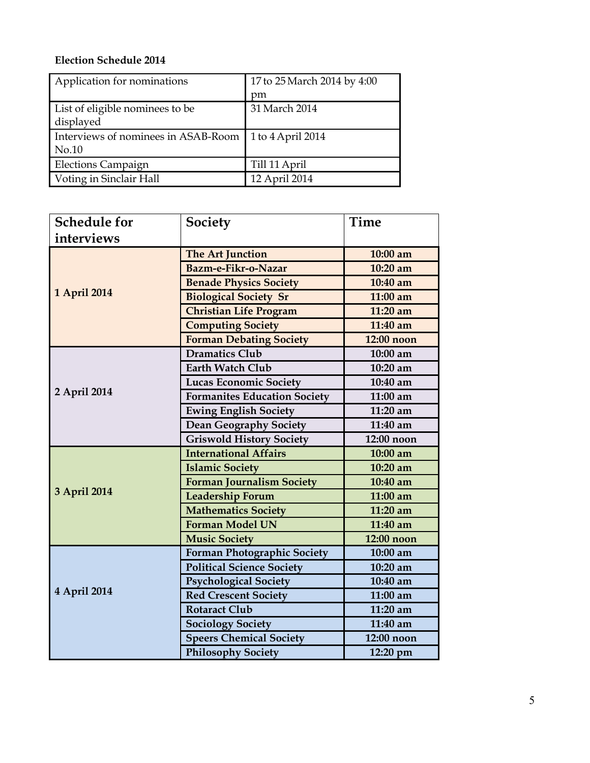## **Election Schedule 2014**

| Application for nominations         | 17 to 25 March 2014 by 4:00 |  |
|-------------------------------------|-----------------------------|--|
|                                     | pm                          |  |
| List of eligible nominees to be     | 31 March 2014               |  |
| displayed                           |                             |  |
| Interviews of nominees in ASAB-Room | 1 to 4 April 2014           |  |
| No.10                               |                             |  |
| <b>Elections Campaign</b>           | Till 11 April               |  |
| Voting in Sinclair Hall             | 12 April 2014               |  |

| <b>Schedule for</b> | Society                             | Time       |
|---------------------|-------------------------------------|------------|
| interviews          |                                     |            |
|                     | The Art Junction                    | 10:00 am   |
|                     | Bazm-e-Fikr-o-Nazar                 | $10:20$ am |
|                     | <b>Benade Physics Society</b>       | 10:40 am   |
| 1 April 2014        | <b>Biological Society Sr</b>        | $11:00$ am |
|                     | <b>Christian Life Program</b>       | 11:20 am   |
|                     | <b>Computing Society</b>            | 11:40 am   |
|                     | <b>Forman Debating Society</b>      | 12:00 noon |
|                     | <b>Dramatics Club</b>               | 10:00 am   |
|                     | <b>Earth Watch Club</b>             | 10:20 am   |
|                     | <b>Lucas Economic Society</b>       | 10:40 am   |
| 2 April 2014        | <b>Formanites Education Society</b> | 11:00 am   |
|                     | <b>Ewing English Society</b>        | 11:20 am   |
|                     | <b>Dean Geography Society</b>       | 11:40 am   |
|                     | <b>Griswold History Society</b>     | 12:00 noon |
|                     | <b>International Affairs</b>        | 10:00 am   |
|                     | <b>Islamic Society</b>              | 10:20 am   |
|                     | <b>Forman Journalism Society</b>    | 10:40 am   |
| 3 April 2014        | Leadership Forum                    | 11:00 am   |
|                     | <b>Mathematics Society</b>          | 11:20 am   |
|                     | <b>Forman Model UN</b>              | 11:40 am   |
|                     | <b>Music Society</b>                | 12:00 noon |
| 4 April 2014        | <b>Forman Photographic Society</b>  | 10:00 am   |
|                     | <b>Political Science Society</b>    | 10:20 am   |
|                     | <b>Psychological Society</b>        | 10:40 am   |
|                     | <b>Red Crescent Society</b>         | 11:00 am   |
|                     | <b>Rotaract Club</b>                | 11:20 am   |
|                     | <b>Sociology Society</b>            | 11:40 am   |
|                     | <b>Speers Chemical Society</b>      | 12:00 noon |
|                     | <b>Philosophy Society</b>           | 12:20 pm   |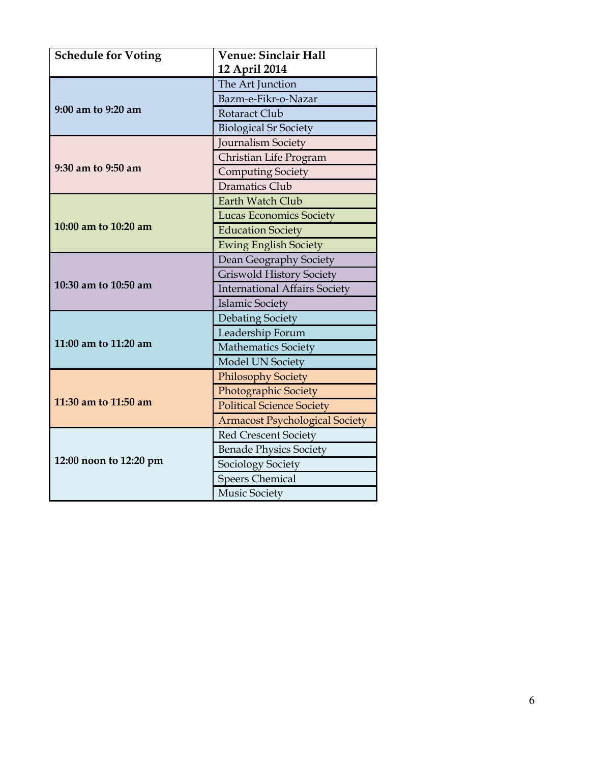| <b>Schedule for Voting</b> | <b>Venue: Sinclair Hall</b>           |  |
|----------------------------|---------------------------------------|--|
|                            | 12 April 2014                         |  |
|                            | The Art Junction                      |  |
|                            | Bazm-e-Fikr-o-Nazar                   |  |
| 9:00 am to 9:20 am         | Rotaract Club                         |  |
|                            | <b>Biological Sr Society</b>          |  |
|                            | <b>Journalism Society</b>             |  |
|                            | Christian Life Program                |  |
| 9:30 am to 9:50 am         | <b>Computing Society</b>              |  |
|                            | <b>Dramatics Club</b>                 |  |
|                            | Earth Watch Club                      |  |
|                            | <b>Lucas Economics Society</b>        |  |
| 10:00 am to 10:20 am       | <b>Education Society</b>              |  |
|                            | <b>Ewing English Society</b>          |  |
|                            | Dean Geography Society                |  |
|                            | <b>Griswold History Society</b>       |  |
| 10:30 am to 10:50 am       | <b>International Affairs Society</b>  |  |
|                            | <b>Islamic Society</b>                |  |
|                            | <b>Debating Society</b>               |  |
|                            | Leadership Forum                      |  |
| 11:00 am to 11:20 am       | <b>Mathematics Society</b>            |  |
|                            | Model UN Society                      |  |
| 11:30 am to 11:50 am       | <b>Philosophy Society</b>             |  |
|                            | <b>Photographic Society</b>           |  |
|                            | <b>Political Science Society</b>      |  |
|                            | <b>Armacost Psychological Society</b> |  |
|                            | <b>Red Crescent Society</b>           |  |
|                            | <b>Benade Physics Society</b>         |  |
| 12:00 noon to 12:20 pm     | <b>Sociology Society</b>              |  |
|                            | <b>Speers Chemical</b>                |  |
|                            | <b>Music Society</b>                  |  |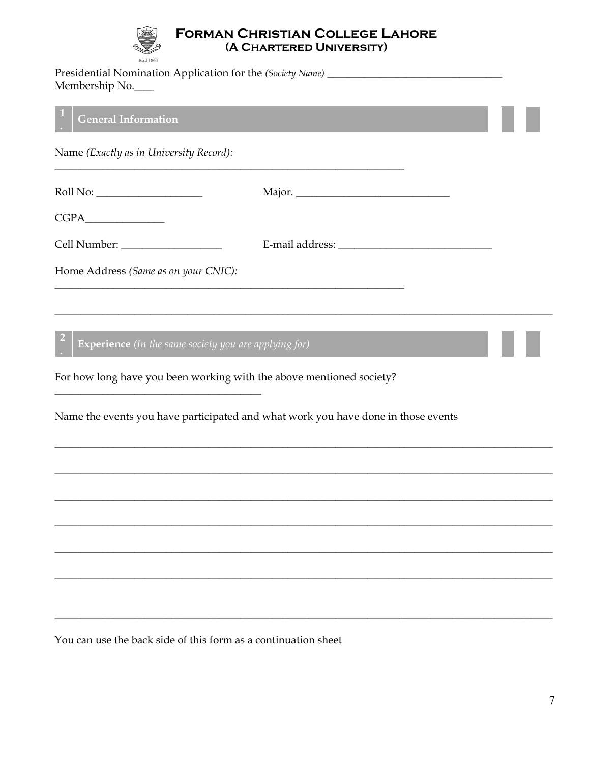

## **FORMAN CHRISTIAN COLLEGE LAHORE** (A CHARTERED UNIVERSITY)

| Estd 1864<br>Membership No.                                                                                                                                                                                                                                                                                                                                                                                                                       |  |
|---------------------------------------------------------------------------------------------------------------------------------------------------------------------------------------------------------------------------------------------------------------------------------------------------------------------------------------------------------------------------------------------------------------------------------------------------|--|
| <b>General Information</b>                                                                                                                                                                                                                                                                                                                                                                                                                        |  |
| Name (Exactly as in University Record):                                                                                                                                                                                                                                                                                                                                                                                                           |  |
| $\begin{minipage}{.4\linewidth} \textbf{Roll No:}\footnotesize \begin{tabular}{l} \textbf{1} & \textbf{1} & \textbf{1} & \textbf{1} & \textbf{1} & \textbf{1} & \textbf{1} & \textbf{1} & \textbf{1} & \textbf{1} & \textbf{1} & \textbf{1} & \textbf{1} & \textbf{1} & \textbf{1} & \textbf{1} & \textbf{1} & \textbf{1} & \textbf{1} & \textbf{1} & \textbf{1} & \textbf{1} & \textbf{1} & \textbf{1} & \textbf{1} & \textbf{1} & \textbf{1} &$ |  |
|                                                                                                                                                                                                                                                                                                                                                                                                                                                   |  |
|                                                                                                                                                                                                                                                                                                                                                                                                                                                   |  |
| Home Address (Same as on your CNIC):                                                                                                                                                                                                                                                                                                                                                                                                              |  |
|                                                                                                                                                                                                                                                                                                                                                                                                                                                   |  |
| Experience (In the same society you are applying for)                                                                                                                                                                                                                                                                                                                                                                                             |  |
| For how long have you been working with the above mentioned society?                                                                                                                                                                                                                                                                                                                                                                              |  |
| Name the events you have participated and what work you have done in those events                                                                                                                                                                                                                                                                                                                                                                 |  |
|                                                                                                                                                                                                                                                                                                                                                                                                                                                   |  |
|                                                                                                                                                                                                                                                                                                                                                                                                                                                   |  |
|                                                                                                                                                                                                                                                                                                                                                                                                                                                   |  |
|                                                                                                                                                                                                                                                                                                                                                                                                                                                   |  |
|                                                                                                                                                                                                                                                                                                                                                                                                                                                   |  |
|                                                                                                                                                                                                                                                                                                                                                                                                                                                   |  |
| You can use the back side of this form as a continuation sheet                                                                                                                                                                                                                                                                                                                                                                                    |  |